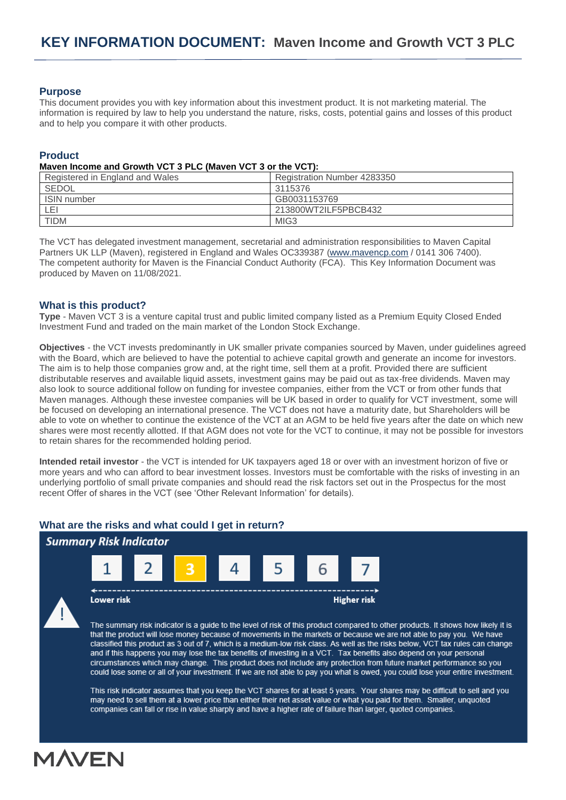## **Purpose**

This document provides you with key information about this investment product. It is not marketing material. The information is required by law to help you understand the nature, risks, costs, potential gains and losses of this product and to help you compare it with other products.

## **Product**

#### **Maven Income and Growth VCT 3 PLC (Maven VCT 3 or the VCT):**

| Registered in England and Wales | Registration Number 4283350 |
|---------------------------------|-----------------------------|
| SEDOL                           | 3115376                     |
| <b>ISIN</b> number              | GB0031153769                |
| LEI                             | 213800WT2ILF5PBCB432        |
| <b>TIDM</b>                     | MIG <sub>3</sub>            |

The VCT has delegated investment management, secretarial and administration responsibilities to Maven Capital Partners UK LLP (Maven), registered in England and Wales OC339387 [\(www.mavencp.com](http://www.mavencp.com/) / 0141 306 7400). The competent authority for Maven is the Financial Conduct Authority (FCA). This Key Information Document was produced by Maven on 11/08/2021.

# **What is this product?**

**Type** - Maven VCT 3 is a venture capital trust and public limited company listed as a Premium Equity Closed Ended Investment Fund and traded on the main market of the London Stock Exchange.

**Objectives** - the VCT invests predominantly in UK smaller private companies sourced by Maven, under guidelines agreed with the Board, which are believed to have the potential to achieve capital growth and generate an income for investors. The aim is to help those companies grow and, at the right time, sell them at a profit. Provided there are sufficient distributable reserves and available liquid assets, investment gains may be paid out as tax-free dividends. Maven may also look to source additional follow on funding for investee companies, either from the VCT or from other funds that Maven manages. Although these investee companies will be UK based in order to qualify for VCT investment, some will be focused on developing an international presence. The VCT does not have a maturity date, but Shareholders will be able to vote on whether to continue the existence of the VCT at an AGM to be held five years after the date on which new shares were most recently allotted. If that AGM does not vote for the VCT to continue, it may not be possible for investors to retain shares for the recommended holding period.

**Intended retail investor** - the VCT is intended for UK taxpayers aged 18 or over with an investment horizon of five or more years and who can afford to bear investment losses. Investors must be comfortable with the risks of investing in an underlying portfolio of small private companies and should read the risk factors set out in the Prospectus for the most recent Offer of shares in the VCT (see 'Other Relevant Information' for details).

# **What are the risks and what could I get in return?**



The summary risk indicator is a guide to the level of risk of this product compared to other products. It shows how likely it is that the product will lose money because of movements in the markets or because we are not able to pay you. We have classified this product as 3 out of 7, which is a medium-low risk class. As well as the risks below, VCT tax rules can change and if this happens you may lose the tax benefits of investing in a VCT. Tax benefits also depend on your personal circumstances which may change. This product does not include any protection from future market performance so you could lose some or all of your investment. If we are not able to pay you what is owed, you could lose your entire investment.

This risk indicator assumes that you keep the VCT shares for at least 5 years. Your shares may be difficult to sell and you may need to sell them at a lower price than either their net asset value or what you paid for them. Smaller, unquoted companies can fall or rise in value sharply and have a higher rate of failure than larger, quoted companies.

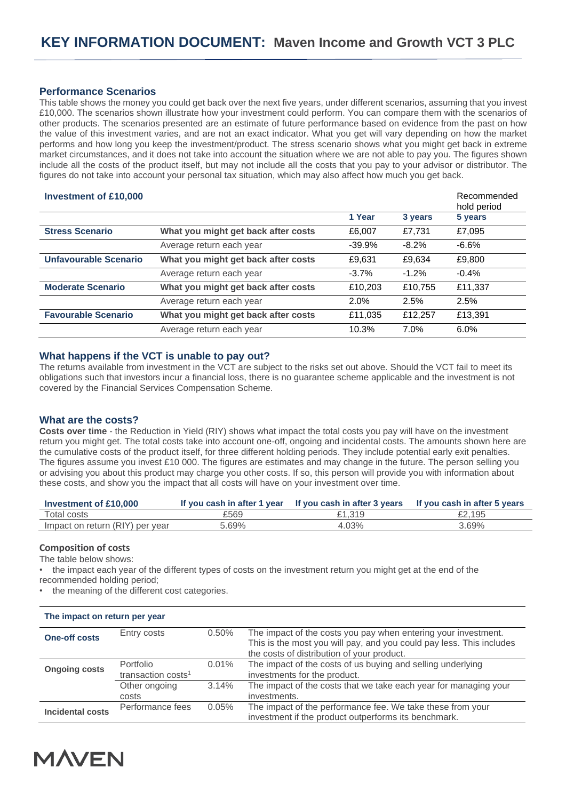# **Performance Scenarios**

This table shows the money you could get back over the next five years, under different scenarios, assuming that you invest £10,000. The scenarios shown illustrate how your investment could perform. You can compare them with the scenarios of other products. The scenarios presented are an estimate of future performance based on evidence from the past on how the value of this investment varies, and are not an exact indicator. What you get will vary depending on how the market performs and how long you keep the investment/product. The stress scenario shows what you might get back in extreme market circumstances, and it does not take into account the situation where we are not able to pay you. The figures shown include all the costs of the product itself, but may not include all the costs that you pay to your advisor or distributor. The figures do not take into account your personal tax situation, which may also affect how much you get back.

| <b>Investment of £10,000</b> |                                     |          |          | Recommended<br>hold period |
|------------------------------|-------------------------------------|----------|----------|----------------------------|
|                              |                                     | 1 Year   | 3 years  | 5 years                    |
| <b>Stress Scenario</b>       | What you might get back after costs | £6,007   | £7.731   | £7,095                     |
|                              | Average return each year            | $-39.9%$ | $-8.2\%$ | $-6.6\%$                   |
| <b>Unfavourable Scenario</b> | What you might get back after costs | £9,631   | £9,634   | £9,800                     |
|                              | Average return each year            | $-3.7%$  | $-1.2\%$ | $-0.4%$                    |
| <b>Moderate Scenario</b>     | What you might get back after costs | £10,203  | £10,755  | £11,337                    |
|                              | Average return each year            | $2.0\%$  | 2.5%     | 2.5%                       |
| <b>Favourable Scenario</b>   | What you might get back after costs | £11,035  | £12.257  | £13,391                    |
|                              | Average return each year            | 10.3%    | 7.0%     | 6.0%                       |

### **What happens if the VCT is unable to pay out?**

The returns available from investment in the VCT are subject to the risks set out above. Should the VCT fail to meet its obligations such that investors incur a financial loss, there is no guarantee scheme applicable and the investment is not covered by the Financial Services Compensation Scheme.

## **What are the costs?**

**Costs over time** - the Reduction in Yield (RIY) shows what impact the total costs you pay will have on the investment return you might get. The total costs take into account one-off, ongoing and incidental costs. The amounts shown here are the cumulative costs of the product itself, for three different holding periods. They include potential early exit penalties. The figures assume you invest £10 000. The figures are estimates and may change in the future. The person selling you or advising you about this product may charge you other costs. If so, this person will provide you with information about these costs, and show you the impact that all costs will have on your investment over time.

| Investment of £10,000           | If you cash in after 1 year | If you cash in after 3 years | If you cash in after 5 years |
|---------------------------------|-----------------------------|------------------------------|------------------------------|
| Total costs                     | £569                        | £1.319                       | £2.195                       |
| Impact on return (RIY) per year | 5.69%                       | $.03\%$                      | 3.69%                        |

#### **Composition of costs**

The table below shows:

- the impact each year of the different types of costs on the investment return you might get at the end of the recommended holding period;
- the meaning of the different cost categories.

| The impact on return per year |                                             |          |                                                                                                                                                                                      |  |
|-------------------------------|---------------------------------------------|----------|--------------------------------------------------------------------------------------------------------------------------------------------------------------------------------------|--|
| <b>One-off costs</b>          | Entry costs                                 | 0.50%    | The impact of the costs you pay when entering your investment.<br>This is the most you will pay, and you could pay less. This includes<br>the costs of distribution of your product. |  |
| <b>Ongoing costs</b>          | Portfolio<br>transaction costs <sup>1</sup> | $0.01\%$ | The impact of the costs of us buying and selling underlying<br>investments for the product.                                                                                          |  |
|                               | Other ongoing<br>costs                      | $3.14\%$ | The impact of the costs that we take each year for managing your<br>investments.                                                                                                     |  |
| Incidental costs              | Performance fees                            | 0.05%    | The impact of the performance fee. We take these from your<br>investment if the product outperforms its benchmark.                                                                   |  |